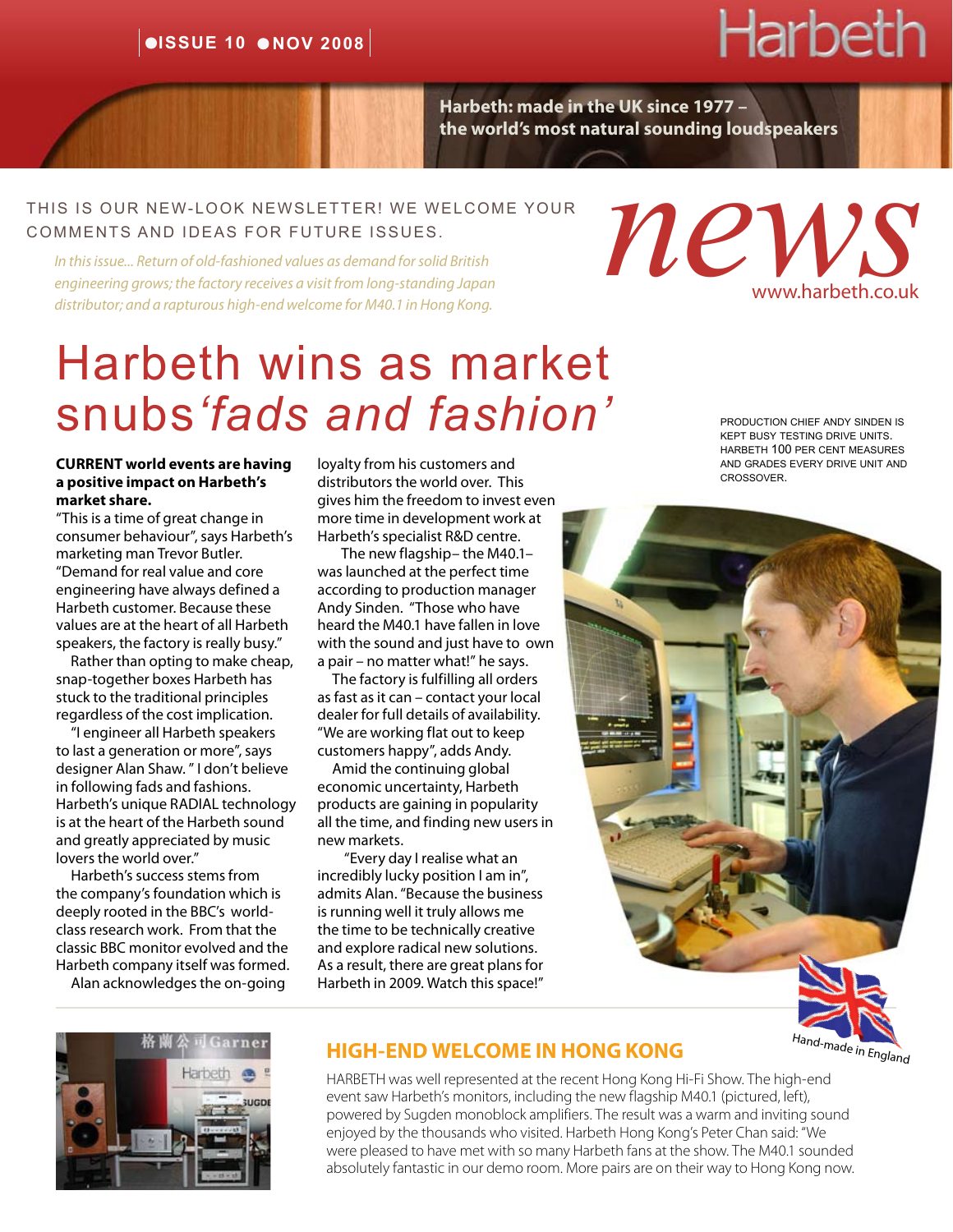### $\bullet$ **ISSUE 10**  $\bullet$ **NOV 2008**

# Harbeth

**Harbeth: made in the UK since 1977 – the world's most natural sounding loudspeakers**

#### this is our NEW-LOOK NEWSLETTER! WE WELCOME YOUR COMMENTS AND IDEAS FOR FUTURE ISSUES.

*In this issue... Return of old-fashioned values as demand for solid British engineering grows; the factory receives a visit from long-standing Japan distributor; and a rapturous high-end welcome for M40.1 in Hong Kong.*

# Harbeth wins as market snubs*'fads and fashion'*

**CURRENT world events are having a positive impact on Harbeth's market share.**

"This is a time of great change in consumer behaviour", says Harbeth's marketing man Trevor Butler. "Demand for real value and core engineering have always defined a Harbeth customer. Because these values are at the heart of all Harbeth speakers, the factory is really busy."

 Rather than opting to make cheap, snap-together boxes Harbeth has stuck to the traditional principles regardless of the cost implication.

 "I engineer all Harbeth speakers to last a generation or more", says designer Alan Shaw. " I don't believe in following fads and fashions. Harbeth's unique RADIAL technology is at the heart of the Harbeth sound and greatly appreciated by music lovers the world over."

 Harbeth's success stems from the company's foundation which is deeply rooted in the BBC's worldclass research work. From that the classic BBC monitor evolved and the Harbeth company itself was formed.

Alan acknowledges the on-going

loyalty from his customers and distributors the world over. This gives him the freedom to invest even more time in development work at Harbeth's specialist R&D centre.

 The new flagship– the M40.1– was launched at the perfect time according to production manager Andy Sinden. "Those who have heard the M40.1 have fallen in love with the sound and just have to own a pair – no matter what!" he says.

 The factory is fulfilling all orders as fast as it can – contact your local dealer for full details of availability. "We are working flat out to keep customers happy", adds Andy.

 Amid the continuing global economic uncertainty, Harbeth products are gaining in popularity all the time, and finding new users in new markets.

 "Every day I realise what an incredibly lucky position I am in", admits Alan. "Because the business is running well it truly allows me the time to be technically creative and explore radical new solutions. As a result, there are great plans for Harbeth in 2009. Watch this space!"

production chief andy sinden is kept busy testing drive units. harbeth 100 per cent measures and grades every drive unit and crossover.

www.harbeth.co.uk

*news*





#### **HIGH-END WELCOME IN HONG KONG**

HARBETH was well represented at the recent Hong Kong Hi-Fi Show. The high-end event saw Harbeth's monitors, including the new flagship M40.1 (pictured, left), powered by Sugden monoblock amplifiers. The result was a warm and inviting sound enjoyed by the thousands who visited. Harbeth Hong Kong's Peter Chan said: "We were pleased to have met with so many Harbeth fans at the show. The M40.1 sounded absolutely fantastic in our demo room. More pairs are on their way to Hong Kong now.